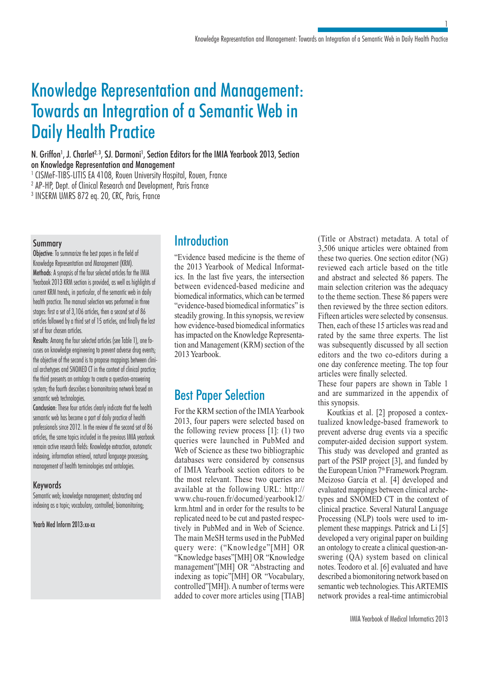# Knowledge Representation and Management: Towards an Integration of a Semantic Web in Daily Health Practice

N. Griffon<sup>1</sup>, J. Charlet<sup>2, 3</sup>, SJ. Darmoni<sup>1</sup>, Section Editors for the IMIA Yearbook 2013, Section

on Knowledge Representation and Management

<sup>1</sup> CISMeF-TIBS-LITIS EA 4108, Rouen University Hospital, Rouen, France

2 AP-HP, Dept. of Clinical Research and Development, Paris France

3 INSERM UMRS 872 eq. 20, CRC, Paris, France

### Summary

Objective: To summarize the best papers in the field of Knowledge Representation and Management (KRM). Methods: A synopsis of the four selected articles for the IMIA Yearbook 2013 KRM section is provided, as well as highlights of current KRM trends, in particular, of the semantic web in daily health practice. The manual selection was performed in three stages: first a set of 3,106 articles, then a second set of 86 articles followed by a third set of 15 articles, and finally the last set of four chosen articles.

Results: Among the four selected articles (see Table 1), one focuses on knowledge engineering to prevent adverse drug events; the objective of the second is to propose mappings between clinical archetypes and SNOMED CT in the context of clinical practice; the third presents an ontology to create a question-answering system; the fourth describes a biomonitoring network based on semantic web technologies.

Conclusion: These four articles clearly indicate that the health semantic web has become a part of daily practice of health professionals since 2012. In the review of the second set of 86 articles, the same topics included in the previous IMIA yearbook remain active research fields: Knowledge extraction, automatic indexing, information retrieval, natural language processing, management of health terminologies and ontologies.

# Keywords

Semantic web; knowledge management; abstracting and indexing as a topic; vocabulary, controlled; biomonitoring;

### Yearb Med Inform 2013:xx-xx

# **Introduction**

"Evidence based medicine is the theme of the 2013 Yearbook of Medical Informatics. In the last five years, the intersection between evidenced-based medicine and biomedical informatics, which can be termed "evidence-based biomedical informatics" is steadily growing. In this synopsis, we review how evidence-based biomedical informatics has impacted on the Knowledge Representation and Management (KRM) section of the 2013 Yearbook.

# Best Paper Selection

For the KRM section of the IMIA Yearbook 2013, four papers were selected based on the following review process [1]: (1) two queries were launched in PubMed and Web of Science as these two bibliographic databases were considered by consensus of IMIA Yearbook section editors to be the most relevant. These two queries are available at the following URL: http:// www.chu-rouen.fr/documed/yearbook12/ krm.html and in order for the results to be replicated need to be cut and pasted respectively in PubMed and in Web of Science. The main MeSH terms used in the PubMed query were: ("Knowledge"[MH] OR "Knowledge bases"[MH] OR "Knowledge management"[MH] OR "Abstracting and indexing as topic"[MH] OR "Vocabulary, controlled"[MH]). A number of terms were added to cover more articles using [TIAB] (Title or Abstract) metadata. A total of 3,506 unique articles were obtained from these two queries. One section editor (NG) reviewed each article based on the title and abstract and selected 86 papers. The main selection criterion was the adequacy to the theme section. These 86 papers were then reviewed by the three section editors. Fifteen articles were selected by consensus. Then, each of these 15 articles was read and rated by the same three experts. The list was subsequently discussed by all section editors and the two co-editors during a one day conference meeting. The top four articles were finally selected.

1

These four papers are shown in Table 1 and are summarized in the appendix of this synopsis.

Koutkias et al. [2] proposed a contextualized knowledge-based framework to prevent adverse drug events via a specific computer-aided decision support system. This study was developed and granted as part of the PSIP project [3], and funded by the European Union 7<sup>th</sup> Framework Program. Meizoso García et al. [4] developed and evaluated mappings between clinical archetypes and SNOMED CT in the context of clinical practice. Several Natural Language Processing (NLP) tools were used to implement these mappings. Patrick and Li [5] developed a very original paper on building an ontology to create a clinical question-answering (QA) system based on clinical notes. Teodoro et al. [6] evaluated and have described a biomonitoring network based on semantic web technologies. This ARTEMIS network provides a real-time antimicrobial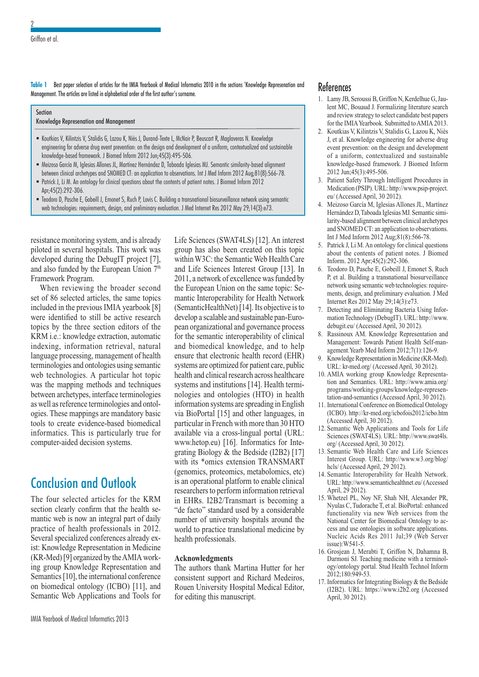**Table 1** Best paper selection of articles for the IMIA Yearbook of Medical Informatics 2010 in the sections 'Knowledge Represenation and Management. The articles are listed in alphabetical order of the first author's surname.

| Section<br>Knowledge Represenation and Management                                                                                                                                                                                                  |
|----------------------------------------------------------------------------------------------------------------------------------------------------------------------------------------------------------------------------------------------------|
| - Koutkias V, Kilintzis V, Stalidis G, Lazou K, Niès J, Durand-Texte L, McNair P, Beuscart R, Maglaveras N. Knowledge<br>engineering for adverse drug event prevention: on the design and development of a uniform, contextualized and sustainable |

- knowledge-based framework. J Biomed Inform 2012 Jun;45(3):495-506. Meizoso García M, Iglesias Allones JL, Martínez Hernández D, Taboada Iglesias MJ. Semantic similarity-based alignment
- between clinical archetypes and SNOMED CT: an application to observations. Int J Med Inform 2012 Aug;81(8):566-78. Patrick J, Li M. An ontology for clinical questions about the contents of patient notes. J Biomed Inform 2012 Apr;45(2):292-306.
- Teodoro D, Pasche E, Gobeill J, Emonet S, Ruch P, Lovis C. Building a transnational biosurveillance network using semantic web technologies: requirements, design, and preliminary evaluation. J Med Internet Res 2012 May 29;14(3):e73.

resistance monitoring system, and is already piloted in several hospitals. This work was developed during the DebugIT project [7], and also funded by the European Union  $7<sup>th</sup>$ Framework Program.

When reviewing the broader second set of 86 selected articles, the same topics included in the previous IMIA yearbook [8] were identified to still be active research topics by the three section editors of the KRM i.e.: knowledge extraction, automatic indexing, information retrieval, natural language processing, management of health terminologies and ontologies using semantic web technologies. A particular hot topic was the mapping methods and techniques between archetypes, interface terminologies as well as reference terminologies and ontologies. These mappings are mandatory basic tools to create evidence-based biomedical informatics. This is particularly true for computer-aided decision systems.

# Conclusion and Outlook

The four selected articles for the KRM section clearly confirm that the health semantic web is now an integral part of daily practice of health professionals in 2012. Several specialized conferences already exist: Knowledge Representation in Medicine (KR-Med) [9] organized by the AMIA working group Knowledge Representation and Semantics [10], the international conference on biomedical ontology (ICBO) [11], and Semantic Web Applications and Tools for

Life Sciences (SWAT4LS) [12]. An interest group has also been created on this topic within W3C: the Semantic Web Health Care and Life Sciences Interest Group [13]. In 2011, a network of excellence was funded by the European Union on the same topic: Semantic Interoperability for Health Network (SemanticHealthNet) [14]. Its objective is to develop a scalable and sustainable pan-European organizational and governance process for the semantic interoperability of clinical and biomedical knowledge, and to help ensure that electronic health record (EHR) systems are optimized for patient care, public health and clinical research across healthcare systems and institutions [14]. Health terminologies and ontologies (HTO) in health information systems are spreading in English via BioPortal [15] and other languages, in particular in French with more than 30 HTO available via a cross-lingual portal (URL: www.hetop.eu) [16]. Informatics for Integrating Biology & the Bedside (I2B2) [17] with its \*omics extension TRANSMART (genomics, proteomics, metabolomics, etc) is an operational platform to enable clinical researchers to perform information retrieval in EHRs. I2B2/Transmart is becoming a "de facto" standard used by a considerable number of university hospitals around the world to practice translational medicine by health professionals.

#### **Acknowledgments**

The authors thank Martina Hutter for her consistent support and Richard Medeiros, Rouen University Hospital Medical Editor, for editing this manuscript.

## **References**

- 1. Lamy JB, Seroussi B, Griffon N, Kerdelhue G, Jaulent MC, Bouaud J. Formalizing literature search and review strategy to select candidate best papers for the IMIA Yearbook. Submitted to AMIA 2013.
- 2. Koutkias V, Kilintzis V, Stalidis G, Lazou K, Niès J, et al. Knowledge engineering for adverse drug event prevention: on the design and development of a uniform, contextualized and sustainable knowledge-based framework. J Biomed Inform 2012 Jun;45(3):495-506.
- 3. Patient Safety Through Intelligent Procedures in Medication (PSIP). URL: http://www.psip-project. eu/ (Accessed April, 30 2012).
- 4. Meizoso García M, Iglesias Allones JL, Martínez Hernández D, Taboada Iglesias MJ. Semantic similarity-based alignment between clinical archetypes and SNOMED CT: an application to observations. Int J Med Inform 2012 Aug;81(8):566-78.
- 5. Patrick J, Li M. An ontology for clinical questions about the contents of patient notes. J Biomed Inform. 2012 Apr;45(2):292-306.
- 6. Teodoro D, Pasche E, Gobeill J, Emonet S, Ruch P, et al. Building a transnational biosurveillance network using semantic web technologies: requirements, design, and preliminary evaluation. J Med Internet Res 2012 May 29;14(3):e73.
- 7. Detecting and Eliminating Bacteria Using Information Technology (DebugIT). URL: http://www. debugit.eu/ (Accessed April, 30 2012).
- 8. Rassinoux AM. Knowledge Representation and Management: Towards Patient Health Self-management.Yearb Med Inform 2012;7(1):126-9.
- 9. Knowledge Representation in Medicine (KR-Med). URL: kr-med.org/ (Accessed April, 30 2012).
- 10. AMIA working group Knowledge Representation and Semantics. URL: http://www.amia.org/ programs/working-groups/knowledge-representation-and-semantics (Accessed April, 30 2012).
- 11. International Conference on Biomedical Ontology (ICBO). http://kr-med.org/icbofois2012/icbo.htm (Accessed April, 30 2012).
- 12. Semantic Web Applications and Tools for Life Sciences (SWAT4LS). URL: http://www.swat4ls. org/ (Accessed April, 30 2012).
- 13. Semantic Web Health Care and Life Sciences Interest Group. URL: http://www.w3.org/blog/ hcls/ (Accessed April, 29 2012).
- 14. Semantic Interoperability for Health Network. URL: http://www.semantichealthnet.eu/ (Accessed April, 29 2012).
- 15. Whetzel PL, Noy NF, Shah NH, Alexander PR, Nyulas C, Tudorache T, et al. BioPortal: enhanced functionality via new Web services from the National Center for Biomedical Ontology to access and use ontologies in software applications. Nucleic Acids Res 2011 Jul;39 (Web Server issue):W541-5.
- 16. Grosjean J, Merabti T, Griffon N, Dahamna B, Darmoni SJ. Teaching medicine with a terminology/ontology portal. Stud Health Technol Inform 2012;180:949-53.
- 17. Informatics for Integrating Biology  $&$  the Bedside (I2B2). URL: https://www.i2b2.org (Accessed April, 30 2012).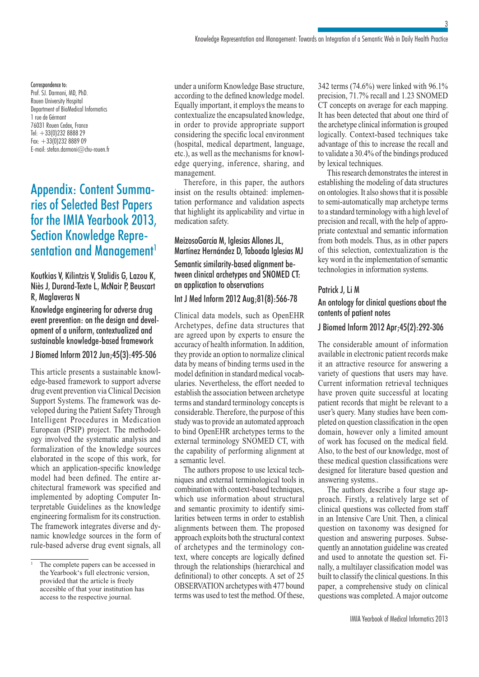#### Correspondence to:

Prof. SJ. Darmoni, MD, PhD. Rouen University Hospital Department of BioMedical Informatics 1 rue de Gérmont 76031 Rouen Cedex, France Tel: +33(0)232 8888 29  $Fax: +33(0)232888909$ E-mail: stefan.darmoni@chu-rouen.fr

# Appendix: Content Summaries of Selected Best Papers for the IMIA Yearbook 2013, Section Knowledge Representation and Management<sup>1</sup>

## Koutkias V, Kilintzis V, Stalidis G, Lazou K, Niès J, Durand-Texte L, McNair P, Beuscart R, Maglaveras N

Knowledge engineering for adverse drug event prevention: on the design and development of a uniform, contextualized and sustainable knowledge-based framework

### J Biomed Inform 2012 Jun;45(3):495-506

This article presents a sustainable knowledge-based framework to support adverse drug event prevention via Clinical Decision Support Systems. The framework was developed during the Patient Safety Through Intelligent Procedures in Medication European (PSIP) project. The methodology involved the systematic analysis and formalization of the knowledge sources elaborated in the scope of this work, for which an application-specific knowledge model had been defined. The entire architectural framework was specified and implemented by adopting Computer Interpretable Guidelines as the knowledge engineering formalism for its construction. The framework integrates diverse and dynamic knowledge sources in the form of rule-based adverse drug event signals, all

under a uniform Knowledge Base structure, according to the defined knowledge model. Equally important, it employs the means to contextualize the encapsulated knowledge, in order to provide appropriate support considering the specific local environment (hospital, medical department, language, etc.), as well as the mechanisms for knowledge querying, inference, sharing, and management.

Therefore, in this paper, the authors insist on the results obtained: implementation performance and validation aspects that highlight its applicability and virtue in medication safety.

# MeizosoGarcía M, Iglesias Allones JL, Martínez Hernández D, Taboada Iglesias MJ Semantic similarity-based alignment between clinical archetypes and SNOMED CT: an application to observations

## Int J Med Inform 2012 Aug;81(8):566-78

Clinical data models, such as OpenEHR Archetypes, define data structures that are agreed upon by experts to ensure the accuracy of health information. In addition, they provide an option to normalize clinical data by means of binding terms used in the model definition in standard medical vocabularies. Nevertheless, the effort needed to establish the association between archetype terms and standard terminology concepts is considerable. Therefore, the purpose of this study was to provide an automated approach to bind OpenEHR archetypes terms to the external terminology SNOMED CT, with the capability of performing alignment at a semantic level.

The authors propose to use lexical techniques and external terminological tools in combination with context-based techniques, which use information about structural and semantic proximity to identify similarities between terms in order to establish alignments between them. The proposed approach exploits both the structural context of archetypes and the terminology context, where concepts are logically defined through the relationships (hierarchical and definitional) to other concepts. A set of 25 OBSERVATION archetypes with 477 bound terms was used to test the method. Of these, 342 terms (74.6%) were linked with 96.1% precision, 71.7% recall and 1.23 SNOMED CT concepts on average for each mapping. It has been detected that about one third of the archetype clinical information is grouped logically. Context-based techniques take advantage of this to increase the recall and to validate a 30.4% of the bindings produced by lexical techniques.

3

This research demonstrates the interest in establishing the modeling of data structures on ontologies. It also shows that it is possible to semi-automatically map archetype terms to a standard terminology with a high level of precision and recall, with the help of appropriate contextual and semantic information from both models. Thus, as in other papers of this selection, contextualization is the key word in the implementation of semantic technologies in information systems.

### Patrick J, Li M

### An ontology for clinical questions about the contents of patient notes

#### J Biomed Inform 2012 Apr;45(2):292-306

The considerable amount of information available in electronic patient records make it an attractive resource for answering a variety of questions that users may have. Current information retrieval techniques have proven quite successful at locating patient records that might be relevant to a user's query. Many studies have been completed on question classification in the open domain, however only a limited amount of work has focused on the medical field. Also, to the best of our knowledge, most of these medical question classifications were designed for literature based question and answering systems..

The authors describe a four stage approach. Firstly, a relatively large set of clinical questions was collected from staff in an Intensive Care Unit. Then, a clinical question on taxonomy was designed for question and answering purposes. Subsequently an annotation guideline was created and used to annotate the question set. Finally, a multilayer classification model was built to classify the clinical questions. In this paper, a comprehensive study on clinical questions was completed. A major outcome

<sup>1</sup> The complete papers can be accessed in the Yearbook's full electronic version, provided that the article is freely accesible of that your institution has access to the respective journal.